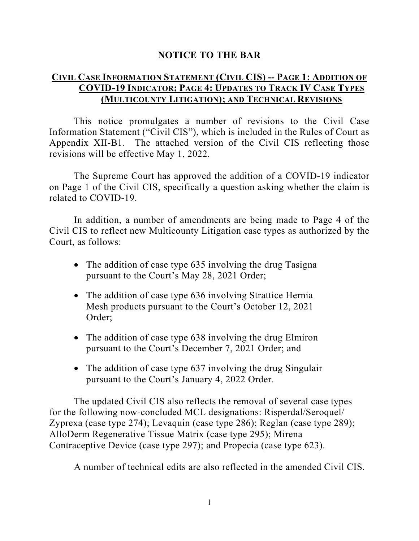#### **NOTICE TO THE BAR**

#### **CIVIL CASE INFORMATION STATEMENT (CIVIL CIS) -- PAGE 1: ADDITION OF COVID-19 INDICATOR; PAGE 4: UPDATES TO TRACK IV CASE TYPES (MULTICOUNTY LITIGATION); AND TECHNICAL REVISIONS**

This notice promulgates a number of revisions to the Civil Case Information Statement ("Civil CIS"), which is included in the Rules of Court as Appendix XII-B1. The attached version of the Civil CIS reflecting those revisions will be effective May 1, 2022.

The Supreme Court has approved the addition of a COVID-19 indicator on Page 1 of the Civil CIS, specifically a question asking whether the claim is related to COVID-19.

In addition, a number of amendments are being made to Page 4 of the Civil CIS to reflect new Multicounty Litigation case types as authorized by the Court, as follows:

- The addition of case type 635 involving the drug Tasigna pursuant to the Court's May 28, 2021 Order;
- The addition of case type 636 involving Strattice Hernia Mesh products pursuant to the Court's October 12, 2021 Order;
- The addition of case type 638 involving the drug Elmiron pursuant to the Court's December 7, 2021 Order; and
- The addition of case type 637 involving the drug Singulair pursuant to the Court's January 4, 2022 Order.

The updated Civil CIS also reflects the removal of several case types for the following now-concluded MCL designations: Risperdal/Seroquel/ Zyprexa (case type 274); Levaquin (case type 286); Reglan (case type 289); AlloDerm Regenerative Tissue Matrix (case type 295); Mirena Contraceptive Device (case type 297); and Propecia (case type 623).

A number of technical edits are also reflected in the amended Civil CIS.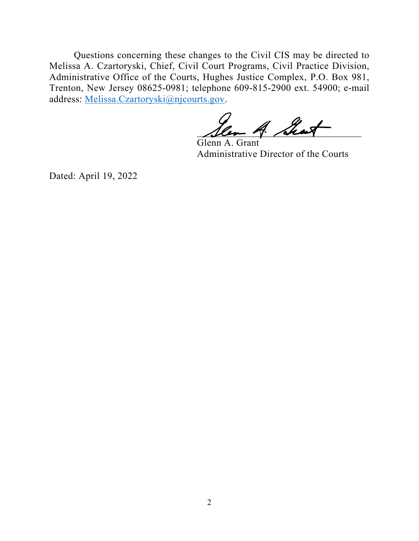Questions concerning these changes to the Civil CIS may be directed to Melissa A. Czartoryski, Chief, Civil Court Programs, Civil Practice Division, Administrative Office of the Courts, Hughes Justice Complex, P.O. Box 981, Trenton, New Jersey 08625-0981; telephone 609-815-2900 ext. 54900; e-mail address: [Melissa.Czartoryski@njcourts.gov.](mailto:Melissa.Czartoryski@njcourts.gov)

len 4 Shoet

 Glenn A. Grant Administrative Director of the Courts

Dated: April 19, 2022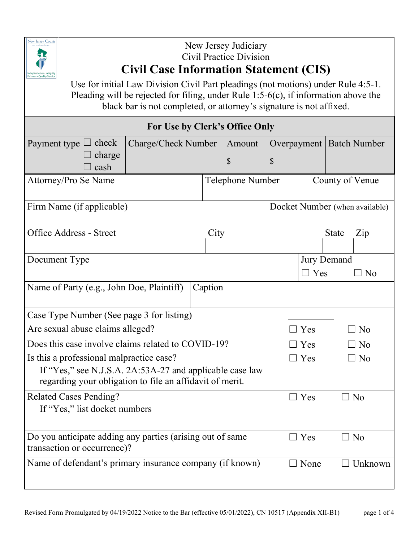

## New Jersey Judiciary Civil Practice Division **Civil Case Information Statement (CIS)**

Use for initial Law Division Civil Part pleadings (not motions) under Rule 4:5-1. Pleading will be rejected for filing, under Rule 1:5-6(c), if information above the black bar is not completed, or attorney's signature is not affixed.

| For Use by Clerk's Office Only                            |                     |         |                  |                                   |                |                                |
|-----------------------------------------------------------|---------------------|---------|------------------|-----------------------------------|----------------|--------------------------------|
| Payment type $\Box$ check                                 | Charge/Check Number |         | Amount           | Overpayment                       |                | <b>Batch Number</b>            |
| charge                                                    |                     |         | \$               | \$                                |                |                                |
| cash                                                      |                     |         |                  |                                   |                |                                |
| Attorney/Pro Se Name                                      |                     |         | Telephone Number |                                   |                | County of Venue                |
| Firm Name (if applicable)                                 |                     |         |                  |                                   |                | Docket Number (when available) |
| <b>Office Address - Street</b>                            |                     | City    |                  | $\overline{Z}$ ip<br><b>State</b> |                |                                |
|                                                           |                     |         |                  |                                   |                |                                |
| Document Type                                             |                     |         | Jury Demand      |                                   |                |                                |
|                                                           |                     |         |                  |                                   | $\Box$ Yes     | $\overline{\phantom{a}}$ No    |
| Name of Party (e.g., John Doe, Plaintiff)                 |                     | Caption |                  |                                   |                |                                |
|                                                           |                     |         |                  |                                   |                |                                |
| Case Type Number (See page 3 for listing)                 |                     |         |                  |                                   |                |                                |
| Are sexual abuse claims alleged?                          |                     |         |                  | Yes                               | N <sub>o</sub> |                                |
| Does this case involve claims related to COVID-19?        |                     |         |                  | Yes                               | N <sub>o</sub> |                                |
| Is this a professional malpractice case?                  |                     |         |                  |                                   | $\exists$ Yes  | ] No                           |
| If "Yes," see N.J.S.A. 2A:53A-27 and applicable case law  |                     |         |                  |                                   |                |                                |
| regarding your obligation to file an affidavit of merit.  |                     |         |                  |                                   |                |                                |
| <b>Related Cases Pending?</b>                             |                     |         | $\Box$           | Yes                               | N <sub>o</sub> |                                |
| If "Yes," list docket numbers                             |                     |         |                  |                                   |                |                                |
|                                                           |                     |         |                  |                                   |                |                                |
| Do you anticipate adding any parties (arising out of same |                     |         |                  | $\Box$ Yes                        | $\Box$ No      |                                |
| transaction or occurrence)?                               |                     |         |                  |                                   |                |                                |
| Name of defendant's primary insurance company (if known)  |                     |         |                  | $\Box$ None                       | Unknown        |                                |
|                                                           |                     |         |                  |                                   |                |                                |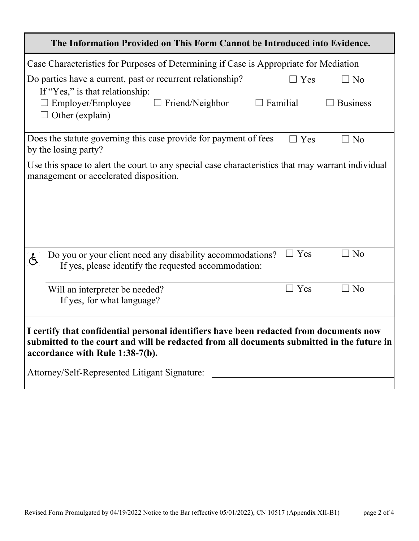| The Information Provided on This Form Cannot be Introduced into Evidence.                                                                                                                                                                                               |  |  |  |  |
|-------------------------------------------------------------------------------------------------------------------------------------------------------------------------------------------------------------------------------------------------------------------------|--|--|--|--|
| Case Characteristics for Purposes of Determining if Case is Appropriate for Mediation                                                                                                                                                                                   |  |  |  |  |
| Do parties have a current, past or recurrent relationship?<br>$\Box$ Yes<br>$\Box$ No<br>If "Yes," is that relationship:<br>Employer/Employee $\Box$ Friend/Neighbor<br>$\Box$ Familial<br>$\Box$ Business<br>$\Box$ Other (explain)                                    |  |  |  |  |
| Does the statute governing this case provide for payment of fees<br>$\Box$ Yes<br>$\Box$ No<br>by the losing party?                                                                                                                                                     |  |  |  |  |
| Use this space to alert the court to any special case characteristics that may warrant individual<br>management or accelerated disposition.                                                                                                                             |  |  |  |  |
| $\Box$ Yes<br>$\Box$ No<br>Do you or your client need any disability accommodations?<br>ල්<br>If yes, please identify the requested accommodation:                                                                                                                      |  |  |  |  |
| $\Box$ Yes<br>$\Box$ No<br>Will an interpreter be needed?<br>If yes, for what language?                                                                                                                                                                                 |  |  |  |  |
| I certify that confidential personal identifiers have been redacted from documents now<br>submitted to the court and will be redacted from all documents submitted in the future in<br>accordance with Rule 1:38-7(b).<br>Attorney/Self-Represented Litigant Signature: |  |  |  |  |
|                                                                                                                                                                                                                                                                         |  |  |  |  |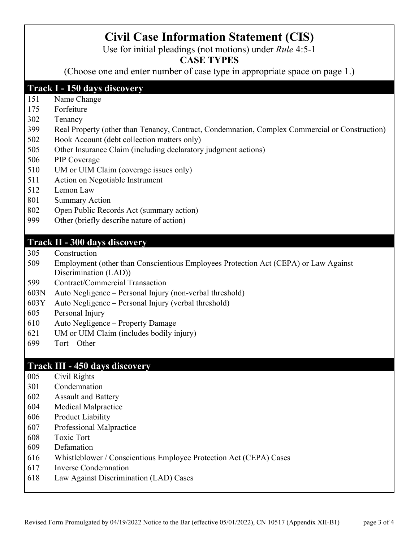# **Civil Case Information Statement (CIS)**

Use for initial pleadings (not motions) under *Rule* 4:5-1

### **CASE TYPES**

(Choose one and enter number of case type in appropriate space on page 1.)

#### **Track I - 150 days discovery**

- Name Change
- Forfeiture
- Tenancy
- Real Property (other than Tenancy, Contract, Condemnation, Complex Commercial or Construction)
- Book Account (debt collection matters only)
- Other Insurance Claim (including declaratory judgment actions)
- PIP Coverage
- 510 UM or UIM Claim (coverage issues only)
- Action on Negotiable Instrument
- Lemon Law
- Summary Action
- Open Public Records Act (summary action)
- Other (briefly describe nature of action)

#### **Track II - 300 days discovery**

- Construction
- Employment (other than Conscientious Employees Protection Act (CEPA) or Law Against Discrimination (LAD))
- Contract/Commercial Transaction
- 603N Auto Negligence Personal Injury (non-verbal threshold)
- 603Y Auto Negligence Personal Injury (verbal threshold)
- Personal Injury
- Auto Negligence Property Damage
- UM or UIM Claim (includes bodily injury)
- Tort Other

#### **Track III - 450 days discovery**

- Civil Rights
- Condemnation
- Assault and Battery
- Medical Malpractice
- Product Liability
- Professional Malpractice
- Toxic Tort
- Defamation
- Whistleblower / Conscientious Employee Protection Act (CEPA) Cases
- Inverse Condemnation
- Law Against Discrimination (LAD) Cases